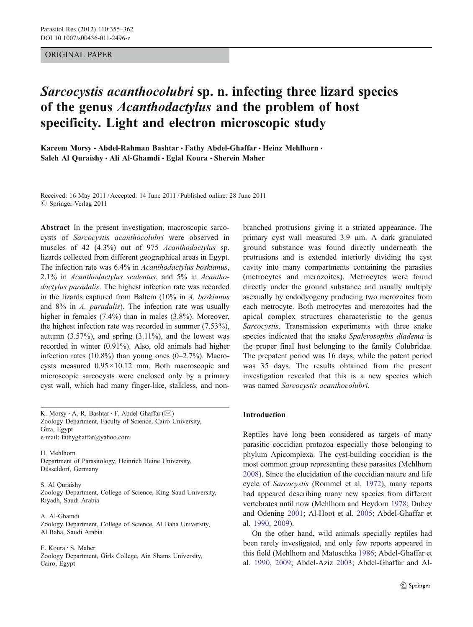## ORIGINAL PAPER

# Sarcocystis acanthocolubri sp. n. infecting three lizard species of the genus Acanthodactylus and the problem of host specificity. Light and electron microscopic study

Kareem Morsy · Abdel-Rahman Bashtar · Fathy Abdel-Ghaffar · Heinz Mehlhorn · Saleh Al Quraishy · Ali Al-Ghamdi · Eglal Koura · Sherein Maher

Received: 16 May 2011 /Accepted: 14 June 2011 / Published online: 28 June 2011  $©$  Springer-Verlag 2011

Abstract In the present investigation, macroscopic sarcocysts of Sarcocystis acanthocolubri were observed in muscles of 42 (4.3%) out of 975 Acanthodactylus sp. lizards collected from different geographical areas in Egypt. The infection rate was 6.4% in Acanthodactylus boskianus, 2.1% in Acanthodactylus sculentus, and 5% in Acanthodactylus paradalis. The highest infection rate was recorded in the lizards captured from Baltem (10% in A. boskianus and 8% in A. paradalis). The infection rate was usually higher in females (7.4%) than in males (3.8%). Moreover, the highest infection rate was recorded in summer (7.53%), autumn  $(3.57\%)$ , and spring  $(3.11\%)$ , and the lowest was recorded in winter (0.91%). Also, old animals had higher infection rates  $(10.8\%)$  than young ones  $(0-2.7\%)$ . Macrocysts measured 0.95×10.12 mm. Both macroscopic and microscopic sarcocysts were enclosed only by a primary cyst wall, which had many finger-like, stalkless, and non-

K. Morsy · A.-R. Bashtar · F. Abdel-Ghaffar  $(\boxtimes)$ Zoology Department, Faculty of Science, Cairo University, Giza, Egypt e-mail: fathyghaffar@yahoo.com

H. Mehlhorn Department of Parasitology, Heinrich Heine University, Düsseldorf, Germany

#### S. Al Quraishy

Zoology Department, College of Science, King Saud University, Riyadh, Saudi Arabia

A. Al-Ghamdi Zoology Department, College of Science, Al Baha University, Al Baha, Saudi Arabia

#### E. Koura : S. Maher

Zoology Department, Girls College, Ain Shams University, Cairo, Egypt

branched protrusions giving it a striated appearance. The primary cyst wall measured 3.9 μm. A dark granulated ground substance was found directly underneath the protrusions and is extended interiorly dividing the cyst cavity into many compartments containing the parasites (metrocytes and merozoites). Metrocytes were found directly under the ground substance and usually multiply asexually by endodyogeny producing two merozoites from each metrocyte. Both metrocytes and merozoites had the apical complex structures characteristic to the genus Sarcocystis. Transmission experiments with three snake species indicated that the snake Spalerosophis diadema is the proper final host belonging to the family Colubridae. The prepatent period was 16 days, while the patent period was 35 days. The results obtained from the present investigation revealed that this is a new species which was named Sarcocystis acanthocolubri.

## Introduction

Reptiles have long been considered as targets of many parasitic coccidian protozoa especially those belonging to phylum Apicomplexa. The cyst-building coccidian is the most common group representing these parasites (Mehlhorn [2008](#page-7-0)). Since the elucidation of the coccidian nature and life cycle of Sarcocystis (Rommel et al. [1972](#page-7-0)), many reports had appeared describing many new species from different vertebrates until now (Mehlhorn and Heydorn [1978](#page-7-0); Dubey and Odening [2001](#page-6-0); Al-Hoot et al. [2005](#page-6-0); Abdel-Ghaffar et al. [1990,](#page-6-0) [2009\)](#page-6-0).

On the other hand, wild animals specially reptiles had been rarely investigated, and only few reports appeared in this field (Mehlhorn and Matuschka [1986](#page-7-0); Abdel-Ghaffar et al. [1990,](#page-6-0) [2009;](#page-6-0) Abdel-Aziz [2003;](#page-6-0) Abdel-Ghaffar and Al-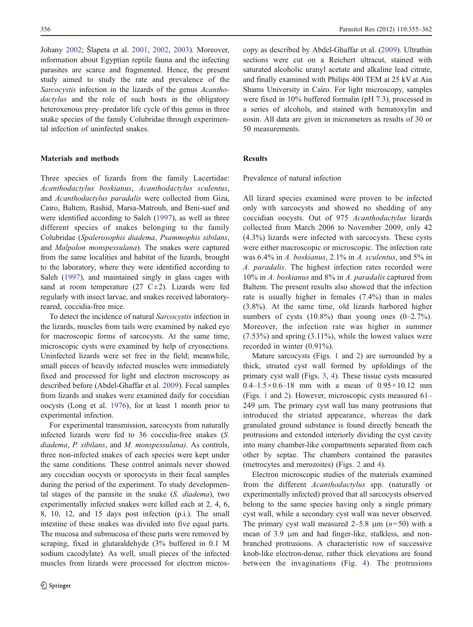Johany [2002;](#page-6-0) Šlapeta et al. [2001](#page-7-0), [2002](#page-7-0), [2003\)](#page-7-0). Moreover, information about Egyptian reptile fauna and the infecting parasites are scarce and fragmented. Hence, the present study aimed to study the rate and prevalence of the Sarcocystis infection in the lizards of the genus Acanthodactylus and the role of such hosts in the obligatory heteroxenous prey–predator life cycle of this genus in three snake species of the family Colubridae through experimental infection of uninfected snakes.

#### Materials and methods

Three species of lizards from the family Lacertidae: Acanthodactylus boskianus, Acanthodactylus sculentus, and Acanthodactylus paradalis were collected from Giza, Cairo, Baltem, Rashid, Marsa-Matrouh, and Beni-suef and were identified according to Saleh ([1997\)](#page-7-0), as well as three different species of snakes belonging to the family Colubridae (Spalerosophis diadema, Psammophis sibilans, and Malpolon monspessulana). The snakes were captured from the same localities and habitat of the lizards, brought to the laboratory, where they were identified according to Saleh ([1997\)](#page-7-0), and maintained singly in glass cages with sand at room temperature  $(27 \text{ C} \pm 2)$ . Lizards were fed regularly with insect larvae, and snakes received laboratoryreared, coccidia-free mice.

To detect the incidence of natural Sarcocystis infection in the lizards, muscles from tails were examined by naked eye for macroscopic forms of sarcocysts. At the same time, microscopic cysts were examined by help of cryosections. Uninfected lizards were set free in the field; meanwhile, small pieces of heavily infected muscles were immediately fixed and processed for light and electron microscopy as described before (Abdel-Ghaffar et al. [2009](#page-6-0)). Fecal samples from lizards and snakes were examined daily for coccidian oocysts (Long et al. [1976](#page-7-0)), for at least 1 month prior to experimental infection.

For experimental transmission, sarcocysts from naturally infected lizards were fed to 36 coccidia-free snakes (S. diadema, P. sibilans, and M. monspessulana). As controls, three non-infected snakes of each species were kept under the same conditions. These control animals never showed any coccidian oocysts or sporocysts in their fecal samples during the period of the experiment. To study developmental stages of the parasite in the snake (S. diadema), two experimentally infected snakes were killed each at 2, 4, 6, 8, 10, 12, and 15 days post infection (p.i.). The small intestine of these snakes was divided into five equal parts. The mucosa and submucosa of these parts were removed by scraping, fixed in glutaraldehyde (3% buffered in 0.1 M sodium cacodylate). As well, small pieces of the infected muscles from lizards were processed for electron microscopy as described by Abdel-Ghaffar et al. [\(2009](#page-6-0)). Ultrathin sections were cut on a Reichert ultracut, stained with saturated alcoholic uranyl acetate and alkaline lead citrate, and finally examined with Philips 400 TEM at 25 kV at Ain Shams University in Cairo. For light microscopy, samples were fixed in 10% buffered formalin (pH 7.3), processed in a series of alcohols, and stained with hematoxylin and eosin. All data are given in micrometers as results of 30 or 50 measurements.

## Results

Prevalence of natural infection

All lizard species examined were proven to be infected only with sarcocysts and showed no shedding of any coccidian oocysts. Out of 975 Acanthodactylus lizards collected from March 2006 to November 2009, only 42 (4.3%) lizards were infected with sarcocysts. These cysts were either macroscopic or microscopic. The infection rate was 6.4% in A. boskianus, 2.1% in A. sculentus, and 5% in A. paradalis. The highest infection rates recorded were 10% in A. boskianus and 8% in A. paradalis captured from Baltem. The present results also showed that the infection rate is usually higher in females (7.4%) than in males (3.8%). At the same time, old lizards harbored higher numbers of cysts  $(10.8\%)$  than young ones  $(0-2.7\%)$ . Moreover, the infection rate was higher in summer (7.53%) and spring (3.11%), while the lowest values were recorded in winter (0.91%).

Mature sarcocysts (Figs. [1](#page-2-0) and [2\)](#page-2-0) are surrounded by a thick, striated cyst wall formed by upfoldings of the primary cyst wall (Figs. [3](#page-2-0), [4\)](#page-2-0). These tissue cysts measured 0.4–1.5×0.6–18 mm with a mean of  $0.95 \times 10.12$  mm (Figs. [1](#page-2-0) and [2](#page-2-0)). However, microscopic cysts measured 61– 249 μm. The primary cyst wall has many protrusions that introduced the striated appearance, whereas the dark granulated ground substance is found directly beneath the protrusions and extended interiorly dividing the cyst cavity into many chamber-like compartments separated from each other by septae. The chambers contained the parasites (metrocytes and merozoites) (Figs. [2](#page-2-0) and [4](#page-2-0)).

Electron microscopic studies of the materials examined from the different Acanthodactylus spp. (naturally or experimentally infected) proved that all sarcocysts observed belong to the same species having only a single primary cyst wall, while a secondary cyst wall was never observed. The primary cyst wall measured 2–5.8  $\mu$ m ( $n=50$ ) with a mean of 3.9 μm and had finger-like, stalkless, and nonbranched protrusions. A characteristic row of successive knob-like electron-dense, rather thick elevations are found between the invaginations (Fig. [4\)](#page-2-0). The protrusions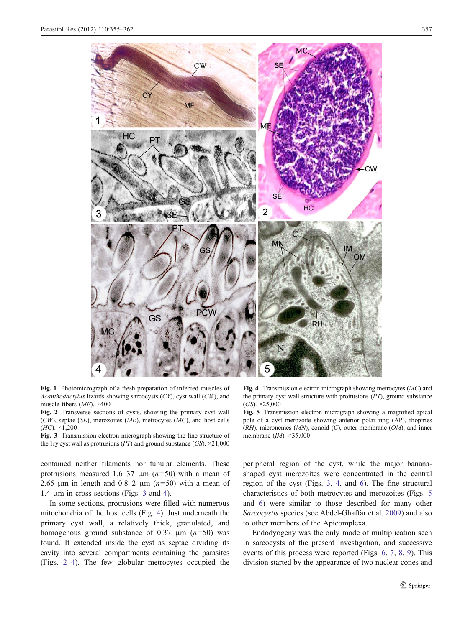<span id="page-2-0"></span>

Fig. 1 Photomicrograph of a fresh preparation of infected muscles of Acanthodactylus lizards showing sarcocysts (CY), cyst wall (CW), and muscle fibers  $(MF)$ . ×400

Fig. 2 Transverse sections of cysts, showing the primary cyst wall  $(CW)$ , septae (SE), merozoites (ME), metrocytes (MC), and host cells  $(HC)$ .  $\times$ 1,200

Fig. 3 Transmission electron micrograph showing the fine structure of the 1ry cyst wall as protrusions (PT) and ground substance (GS).  $\times$ 21,000

contained neither filaments nor tubular elements. These protrusions measured 1.6–37  $\mu$ m (n=50) with a mean of 2.65 μm in length and 0.8–2 μm  $(n=50)$  with a mean of 1.4 μm in cross sections (Figs. 3 and 4).

In some sections, protrusions were filled with numerous mitochondria of the host cells (Fig. 4). Just underneath the primary cyst wall, a relatively thick, granulated, and homogenous ground substance of 0.37  $\mu$ m (n=50) was found. It extended inside the cyst as septae dividing its cavity into several compartments containing the parasites (Figs. 2–4). The few globular metrocytes occupied the

Fig. 4 Transmission electron micrograph showing metrocytes (MC) and the primary cyst wall structure with protrusions (PT), ground substance  $(GS)$ .  $\times 25,000$ 

Fig. 5 Transmission electron micrograph showing a magnified apical pole of a cyst merozoite showing anterior polar ring (AP), rhoptries  $(RH)$ , micronemes  $(MN)$ , conoid  $(C)$ , outer membrane  $(OM)$ , and inner membrane (IM). ×35,000

peripheral region of the cyst, while the major bananashaped cyst merozoites were concentrated in the central region of the cyst (Figs. 3, 4, and [6](#page-3-0)). The fine structural characteristics of both metrocytes and merozoites (Figs. 5 and [6\)](#page-3-0) were similar to those described for many other Sarcocystis species (see Abdel-Ghaffar et al. [2009](#page-6-0)) and also to other members of the Apicomplexa.

Endodyogeny was the only mode of multiplication seen in sarcocysts of the present investigation, and successive events of this process were reported (Figs. [6,](#page-3-0) [7](#page-3-0), [8](#page-3-0), [9\)](#page-3-0). This division started by the appearance of two nuclear cones and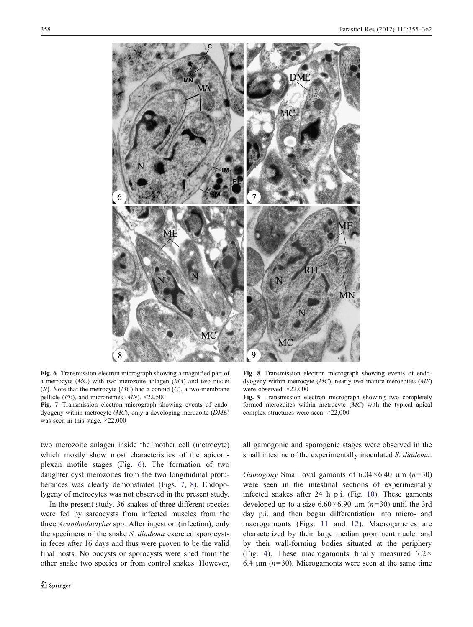<span id="page-3-0"></span>

Fig. 6 Transmission electron micrograph showing a magnified part of a metrocyte (MC) with two merozoite anlagen (MA) and two nuclei  $(N)$ . Note that the metrocyte  $(MC)$  had a conoid  $(C)$ , a two-membrane pellicle (*PE*), and micronemes (*MN*).  $\times$ 22,500

Fig. 7 Transmission electron micrograph showing events of endodyogeny within metrocyte (MC), only a developing merozoite (DME) was seen in this stage. ×22,000

two merozoite anlagen inside the mother cell (metrocyte) which mostly show most characteristics of the apicomplexan motile stages (Fig. 6). The formation of two daughter cyst merozoites from the two longitudinal protuberances was clearly demonstrated (Figs. 7, 8). Endopolygeny of metrocytes was not observed in the present study.

In the present study, 36 snakes of three different species were fed by sarcocysts from infected muscles from the three Acanthodactylus spp. After ingestion (infection), only the specimens of the snake S. diadema excreted sporocysts in feces after 16 days and thus were proven to be the valid final hosts. No oocysts or sporocysts were shed from the other snake two species or from control snakes. However,

Fig. 8 Transmission electron micrograph showing events of endodyogeny within metrocyte (MC), nearly two mature merozoites (ME) were observed. ×22,000

Fig. 9 Transmission electron micrograph showing two completely formed merozoites within metrocyte (MC) with the typical apical complex structures were seen. ×22,000

all gamogonic and sporogenic stages were observed in the small intestine of the experimentally inoculated S. diadema.

Gamogony Small oval gamonts of  $6.04 \times 6.40$  μm  $(n=30)$ were seen in the intestinal sections of experimentally infected snakes after 24 h p.i. (Fig. [10\)](#page-4-0). These gamonts developed up to a size  $6.60 \times 6.90$  μm ( $n=30$ ) until the 3rd day p.i. and then began differentiation into micro- and macrogamonts (Figs. [11](#page-4-0) and [12](#page-4-0)). Macrogametes are characterized by their large median prominent nuclei and by their wall-forming bodies situated at the periphery (Fig. [4](#page-2-0)). These macrogamonts finally measured  $7.2 \times$ 6.4  $\mu$ m ( $n=30$ ). Microgamonts were seen at the same time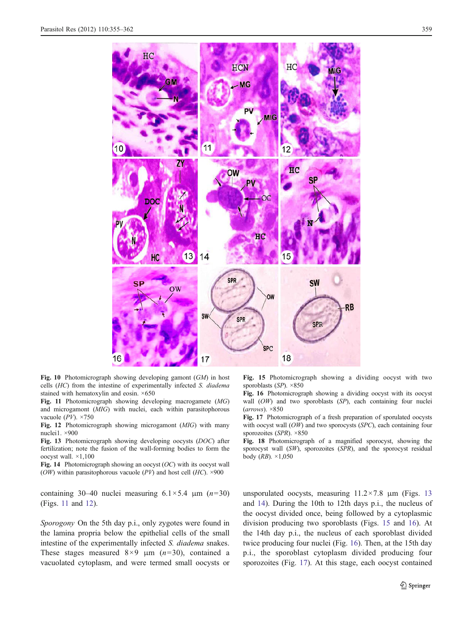<span id="page-4-0"></span>

Fig. 10 Photomicrograph showing developing gamont (GM) in host cells (HC) from the intestine of experimentally infected S. diadema stained with hematoxylin and eosin. ×650

Fig. 11 Photomicrograph showing developing macrogamete (MG) and microgamont (MIG) with nuclei, each within parasitophorous vacuole  $(PV)$ . ×750

Fig. 12 Photomicrograph showing microgamont (MIG) with many nuclei1. ×900

Fig. 13 Photomicrograph showing developing oocysts (DOC) after fertilization; note the fusion of the wall-forming bodies to form the oocyst wall. ×1,100

Fig. 14 Photomicrograph showing an oocyst  $(OC)$  with its oocyst wall (*OW*) within parasitophorous vacuole (*PV*) and host cell (*HC*).  $\times$ 900

containing 30–40 nuclei measuring  $6.1 \times 5.4$  μm  $(n=30)$ (Figs. 11 and 12).

Sporogony On the 5th day p.i., only zygotes were found in the lamina propria below the epithelial cells of the small intestine of the experimentally infected S. diadema snakes. These stages measured  $8\times9$  μm (n=30), contained a vacuolated cytoplasm, and were termed small oocysts or Fig. 15 Photomicrograph showing a dividing oocyst with two sporoblasts  $(SP)$ . ×850

Fig. 16 Photomicrograph showing a dividing oocyst with its oocyst wall (OW) and two sporoblasts (SP), each containing four nuclei  $(arrows)$ .  $\times$ 850

Fig. 17 Photomicrograph of a fresh preparation of sporulated oocysts with oocyst wall (OW) and two sporocysts (SPC), each containing four sporozoites (SPR). ×850

Fig. 18 Photomicrograph of a magnified sporocyst, showing the sporocyst wall (SW), sporozoites (SPR), and the sporocyst residual body  $(RB)$ .  $\times$ 1,050

unsporulated oocysts, measuring  $11.2 \times 7.8$  μm (Figs. 13) and 14). During the 10th to 12th days p.i., the nucleus of the oocyst divided once, being followed by a cytoplasmic division producing two sporoblasts (Figs. 15 and 16). At the 14th day p.i., the nucleus of each sporoblast divided twice producing four nuclei (Fig. 16). Then, at the 15th day p.i., the sporoblast cytoplasm divided producing four sporozoites (Fig. 17). At this stage, each oocyst contained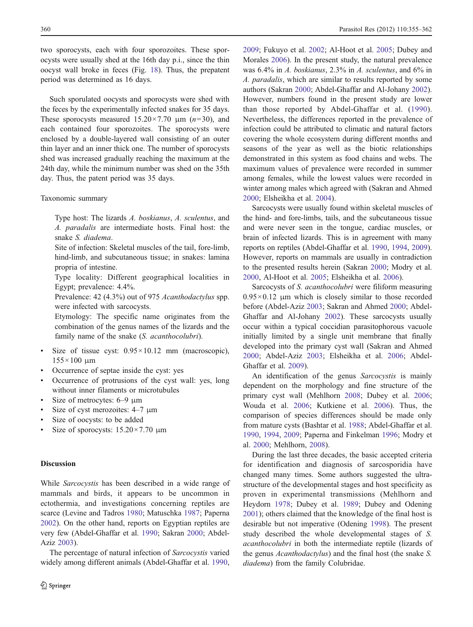two sporocysts, each with four sporozoites. These sporocysts were usually shed at the 16th day p.i., since the thin oocyst wall broke in feces (Fig. [18](#page-4-0)). Thus, the prepatent period was determined as 16 days.

Such sporulated oocysts and sporocysts were shed with the feces by the experimentally infected snakes for 35 days. These sporocysts measured  $15.20 \times 7.70$  μm  $(n=30)$ , and each contained four sporozoites. The sporocysts were enclosed by a double-layered wall consisting of an outer thin layer and an inner thick one. The number of sporocysts shed was increased gradually reaching the maximum at the 24th day, while the minimum number was shed on the 35th day. Thus, the patent period was 35 days.

### Taxonomic summary

Type host: The lizards A. boskianus, A. sculentus, and A. paradalis are intermediate hosts. Final host: the snake S. diadema.

Site of infection: Skeletal muscles of the tail, fore-limb, hind-limb, and subcutaneous tissue; in snakes: lamina propria of intestine.

Type locality: Different geographical localities in Egypt; prevalence: 4.4%.

Prevalence: 42 (4.3%) out of 975 Acanthodactylus spp. were infected with sarcocysts.

Etymology: The specific name originates from the combination of the genus names of the lizards and the family name of the snake (S. acanthocolubri).

- Size of tissue cyst:  $0.95 \times 10.12$  mm (macroscopic),  $155 \times 100 \mu m$
- & Occurrence of septae inside the cyst: yes
- Occurrence of protrusions of the cyst wall: yes, long without inner filaments or microtubules
- & Size of metrocytes: 6–9 μm
- Size of cyst merozoites:  $4-7 \mu m$
- Size of oocysts: to be added
- Size of sporocysts:  $15.20 \times 7.70 \mu m$

## **Discussion**

While Sarcocystis has been described in a wide range of mammals and birds, it appears to be uncommon in ectothermia, and investigations concerning reptiles are scarce (Levine and Tadros [1980](#page-7-0); Matuschka [1987;](#page-7-0) Paperna [2002\)](#page-7-0). On the other hand, reports on Egyptian reptiles are very few (Abdel-Ghaffar et al. [1990](#page-6-0); Sakran [2000;](#page-7-0) Abdel-Aziz [2003\)](#page-6-0).

The percentage of natural infection of Sarcocystis varied widely among different animals (Abdel-Ghaffar et al. [1990,](#page-6-0) [2009](#page-6-0); Fukuyo et al. [2002;](#page-7-0) Al-Hoot et al. [2005](#page-6-0); Dubey and Morales [2006\)](#page-6-0). In the present study, the natural prevalence was 6.4% in A. boskianus, 2.3% in A. sculentus, and 6% in A. paradalis, which are similar to results reported by some authors (Sakran [2000](#page-7-0); Abdel-Ghaffar and Al-Johany [2002\)](#page-6-0). However, numbers found in the present study are lower than those reported by Abdel-Ghaffar et al. ([1990](#page-6-0)). Nevertheless, the differences reported in the prevalence of infection could be attributed to climatic and natural factors covering the whole ecosystem during different months and seasons of the year as well as the biotic relationships demonstrated in this system as food chains and webs. The maximum values of prevalence were recorded in summer among females, while the lowest values were recorded in winter among males which agreed with (Sakran and Ahmed [2000](#page-7-0); Elsheikha et al. [2004\)](#page-6-0).

Sarcocysts were usually found within skeletal muscles of the hind- and fore-limbs, tails, and the subcutaneous tissue and were never seen in the tongue, cardiac muscles, or brain of infected lizards. This is in agreement with many reports on reptiles (Abdel-Ghaffar et al. [1990,](#page-6-0) [1994](#page-6-0), [2009\)](#page-6-0). However, reports on mammals are usually in contradiction to the presented results herein (Sakran [2000;](#page-7-0) Modry et al. [2000](#page-7-0), Al-Hoot et al. [2005](#page-6-0); Elsheikha et al. [2006\)](#page-6-0).

Sarcocysts of S. acanthocolubri were filiform measuring  $0.95 \times 0.12$  μm which is closely similar to those recorded before (Abdel-Aziz [2003](#page-6-0); Sakran and Ahmed [2000](#page-7-0); Abdel-Ghaffar and Al-Johany [2002\)](#page-6-0). These sarcocysts usually occur within a typical coccidian parasitophorous vacuole initially limited by a single unit membrane that finally developed into the primary cyst wall (Sakran and Ahmed [2000](#page-7-0); Abdel-Aziz [2003;](#page-6-0) Elsheikha et al. [2006](#page-6-0); Abdel-Ghaffar et al. [2009](#page-6-0)).

An identification of the genus Sarcocystis is mainly dependent on the morphology and fine structure of the primary cyst wall (Mehlhorn [2008](#page-7-0); Dubey et al. [2006;](#page-6-0) Wouda et al. [2006;](#page-7-0) Kutkiene et al. [2006](#page-7-0)). Thus, the comparison of species differences should be made only from mature cysts (Bashtar et al. [1988;](#page-6-0) Abdel-Ghaffar et al. [1990](#page-6-0), [1994,](#page-6-0) [2009](#page-6-0); Paperna and Finkelman [1996](#page-7-0); Modry et al. [2000;](#page-7-0) Mehlhorn, [2008\)](#page-7-0).

During the last three decades, the basic accepted criteria for identification and diagnosis of sarcosporidia have changed many times. Some authors suggested the ultrastructure of the developmental stages and host specificity as proven in experimental transmissions (Mehlhorn and Heydorn [1978;](#page-7-0) Dubey et al. [1989;](#page-6-0) Dubey and Odening [2001](#page-6-0)); others claimed that the knowledge of the final host is desirable but not imperative (Odening [1998\)](#page-7-0). The present study described the whole developmental stages of S. acanthocolubri in both the intermediate reptile (lizards of the genus Acanthodactylus) and the final host (the snake S. diadema) from the family Colubridae.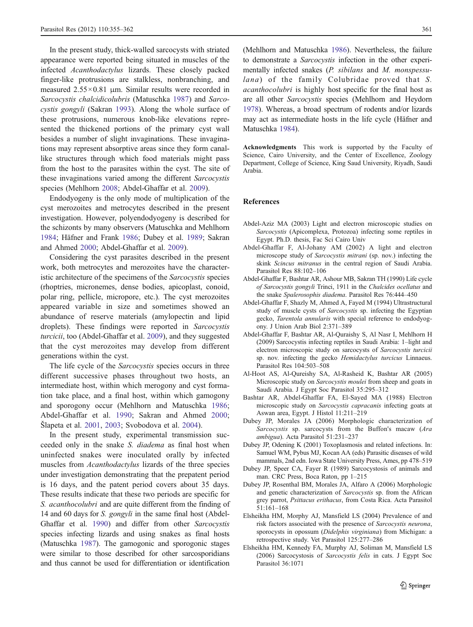<span id="page-6-0"></span>In the present study, thick-walled sarcocysts with striated appearance were reported being situated in muscles of the infected Acanthodactylus lizards. These closely packed finger-like protrusions are stalkless, nonbranching, and measured 2.55×0.81 μm. Similar results were recorded in Sarcocystis chalcidicolubris (Matuschka [1987\)](#page-7-0) and Sarcocystis gongyli (Sakran [1993](#page-7-0)). Along the whole surface of these protrusions, numerous knob-like elevations represented the thickened portions of the primary cyst wall besides a number of slight invaginations. These invaginations may represent absorptive areas since they form canallike structures through which food materials might pass from the host to the parasites within the cyst. The site of these invaginations varied among the different Sarcocystis species (Mehlhorn [2008](#page-7-0); Abdel-Ghaffar et al. 2009).

Endodyogeny is the only mode of multiplication of the cyst merozoites and metrocytes described in the present investigation. However, polyendodyogeny is described for the schizonts by many observers (Matuschka and Mehlhorn [1984;](#page-7-0) Häfner and Frank [1986;](#page-7-0) Dubey et al. 1989; Sakran and Ahmed [2000](#page-7-0); Abdel-Ghaffar et al. 2009).

Considering the cyst parasites described in the present work, both metrocytes and merozoites have the characteristic architecture of the specimens of the Sarcocystis species (rhoptries, micronemes, dense bodies, apicoplast, conoid, polar ring, pellicle, micropore, etc.). The cyst merozoites appeared variable in size and sometimes showed an abundance of reserve materials (amylopectin and lipid droplets). These findings were reported in Sarcocystis turcicii, too (Abdel-Ghaffar et al. 2009), and they suggested that the cyst merozoites may develop from different generations within the cyst.

The life cycle of the *Sarcocystis* species occurs in three different successive phases throughout two hosts, an intermediate host, within which merogony and cyst formation take place, and a final host, within which gamogony and sporogony occur (Mehlhorn and Matuschka [1986](#page-7-0); Abdel-Ghaffar et al. 1990; Sakran and Ahmed [2000](#page-7-0); Šlapeta et al. [2001](#page-7-0), [2003](#page-7-0); Svobodova et al. [2004\)](#page-7-0).

In the present study, experimental transmission succeeded only in the snake S. diadema as final host when uninfected snakes were inoculated orally by infected muscles from Acanthodactylus lizards of the three species under investigation demonstrating that the prepatent period is 16 days, and the patent period covers about 35 days. These results indicate that these two periods are specific for S. *acanthocolubri* and are quite different from the finding of 14 and 60 days for S. gongyli in the same final host (Abdel-Ghaffar et al. 1990) and differ from other Sarcocystis species infecting lizards and using snakes as final hosts (Matuschka [1987\)](#page-7-0). The gamogonic and sporogonic stages were similar to those described for other sarcosporidians and thus cannot be used for differentiation or identification

(Mehlhorn and Matuschka [1986\)](#page-7-0). Nevertheless, the failure to demonstrate a Sarcocystis infection in the other experimentally infected snakes (P. sibilans and M. monspessulana) of the family Colubridae proved that S. acanthocolubri is highly host specific for the final host as are all other Sarcocystis species (Mehlhorn and Heydorn [1978\)](#page-7-0). Whereas, a broad spectrum of rodents and/or lizards may act as intermediate hosts in the life cycle (Häfner and Matuschka [1984\)](#page-7-0).

Acknowledgments This work is supported by the Faculty of Science, Cairo University, and the Center of Excellence, Zoology Department, College of Science, King Saud University, Riyadh, Saudi Arabia.

#### References

- Abdel-Aziz MA (2003) Light and electron microscopic studies on Sarcocystis (Apicomplexa, Protozoa) infecting some reptiles in Egypt. Ph.D. thesis, Fac Sci Cairo Univ
- Abdel-Ghaffar F, Al-Johany AM (2002) A light and electron microscope study of Sarcocystis mitrani (sp. nov.) infecting the skink Scincus mitranus in the central region of Saudi Arabia. Parasitol Res 88:102–106
- Abdel-Ghaffar F, Bashtar AR, Ashour MB, Sakran TH (1990) Life cycle of Sarcocystis gongyli Trinci, 1911 in the Chalcides ocellatus and the snake Spalerosophis diadema. Parasitol Res 76:444–450
- Abdel-Ghaffar F, Shazly M, Ahmed A, Fayed M (1994) Ultrastructural study of muscle cysts of Sarcocystis sp. infecting the Egyptian gecko, Tarentola annularis with special reference to endodyogony. J Union Arab Biol 2:371–389
- Abdel-Ghaffar F, Bashtar AR, Al-Quraishy S, Al Nasr I, Mehlhorn H (2009) Sarcocystis infecting reptiles in Saudi Arabia: 1–light and electron microscopic study on sarcocysts of Sarcocystis turcicii sp. nov. infecting the gecko Hemidactylus turcicus Linnaeus. Parasitol Res 104:503–508
- Al-Hoot AS, Al-Qureishy SA, Al-Rasheid K, Bashtar AR (2005) Microscopic study on Sarcocystis moulei from sheep and goats in Saudi Arabia. J Egypt Soc Parasitol 35:295–312
- Bashtar AR, Abdel-Ghaffar FA, El-Sayed MA (1988) Electron microscopic study on Sarcocystis capracanis infecting goats at Aswan area, Egypt. J Histol 11:211–219
- Dubey JP, Morales JA (2006) Morphologic characterization of Sarcocystis sp. sarcocysts from the Buffon's macaw (Ara ambigua). Acta Parasitol 51:231–237
- Dubey JP, Odening K (2001) Toxoplasmosis and related infections. In: Samuel WM, Pybus MJ, Kocan AA (eds) Parasitic diseases of wild mammals, 2nd edn. Iowa State University Press, Ames, pp 478–519
- Dubey JP, Speer CA, Fayer R (1989) Sarcocystosis of animals and man. CRC Press, Boca Raton, pp 1–215
- Dubey JP, Rosenthal BM, Morales JA, Alfaro A (2006) Morphologic and genetic characterization of Sarcocystis sp. from the African grey parrot, Psittacus erithacus, from Costa Rica. Acta Parasitol 51:161–168
- Elsheikha HM, Morphy AJ, Mansfield LS (2004) Prevalence of and risk factors associated with the presence of Sarcocystis neurona, sporocysts in opossum (Didelphis virginiana) from Michigan: a retrospective study. Vet Parasitol 125:277–286
- Elsheikha HM, Kennedy FA, Murphy AJ, Soliman M, Mansfield LS (2006) Sarcocystosis of Sarcocystis felis in cats. J Egypt Soc Parasitol 36:1071